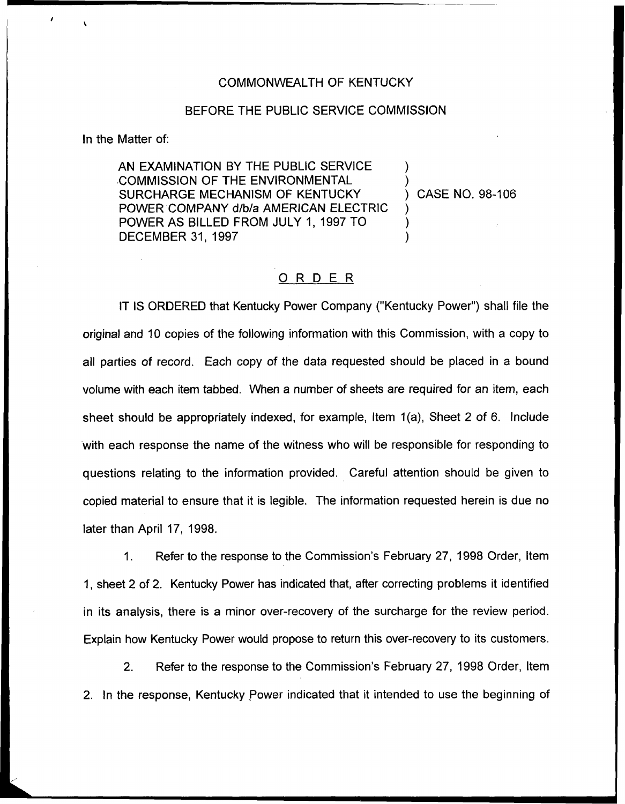## COMMONWEALTH OF KENTUCKY

## BEFORE THE PUBLIC SERVICE COMMISSION

In the Matter of:

AN EXAMINATION BY THE PUBLIC SERVICE COMMISSION OF THE ENVIRONMENTAL SURCHARGE MECHANISM OF KENTUCKY POWER COMPANY d/b/a AMERICAN ELECTRIC POWER AS BILLED FROM JULY 1, 1997 TO DECEMBER 31, 1997

) CASE NO. 98-106

) )

) ) )

## ORDER

IT IS ORDERED that Kentucky Power Company ("Kentucky Power") shall file the original and 10 copies of the following information with this Commission, with a copy to all parties of record, Each copy of the data requested should be placed in a bound volume with each item tabbed. When a number of sheets are required for an item, each sheet should be appropriately indexed, for example, Item 1(a), Sheet 2 of 6. Include with each response the name of the witness who will be responsible for responding to questions relating to the information provided. Careful attention should be given to copied material to ensure that it is legible. The information requested herein is due no later than April 17, 1998.

1. Refer to the response to the Commission's February 27, 1998 Order, Item 1, sheet 2 of 2. Kentucky Power has indicated that, after correcting problems it identified in its analysis, there is a minor over-recovery of the surcharge for the review period. Explain how Kentucky Power would propose to return this over-recovery to its customers.

2. Refer to the response to the Commission's February 27, 1998 Order, Item 2. In the response, Kentucky Power indicated that it intended to use the beginning of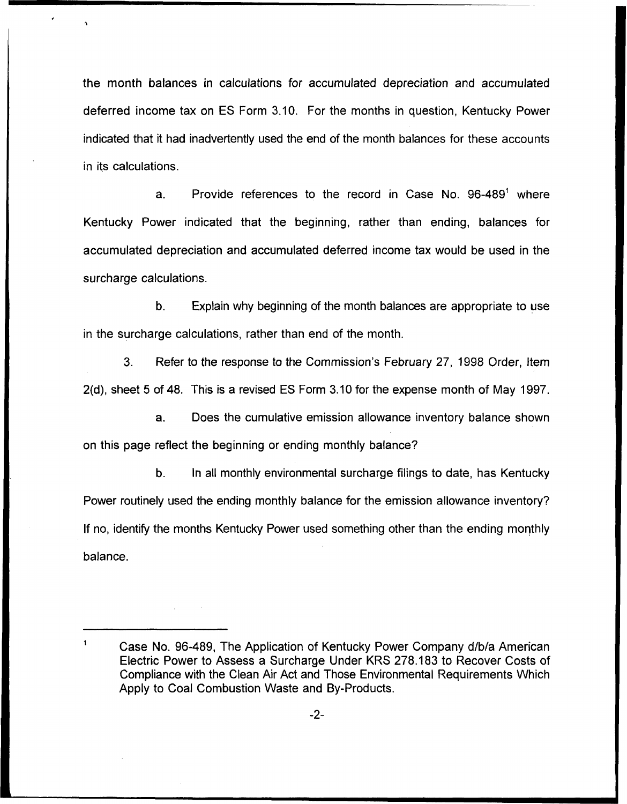the month balances in calculations for accumulated depreciation and accumulated deferred income tax on ES Form 3.10. For the months in question, Kentucky Power indicated that it had inadvertently used the end of the month balances for these accounts in its calculations.

a. Provide references to the record in Case No.  $96-489^{\circ}$  where Kentucky Power indicated that the beginning, rather than ending, balances for accumulated depreciation and accumulated deferred income tax would be used in the surcharge calculations.

b. Explain why beginning of the month balances are appropriate to use in the surcharge calculations, rather than end of the month.

3. Refer to the response to the Commission's February 27, 1998 Order, item 2(d), sheet 5 of 48. This is a revised ES Form 3.10 for the expense month of May 1997.

a. Does the cumulative emission allowance inventory balance shown on this page reflect the beginning or ending monthly balance?

b. In all monthly environmental surcharge filings to date, has Kentucky Power routinely used the ending monthly balance for the emission allowance inventory? If no, identify the months Kentucky Power used something other than the ending monthly balance.

 $\mathbf 1$ Case No. 96-489, The Application of Kentucky Power Company d/b/a American Electric Power to Assess a Surcharge Under KRS 278.183 to Recover Costs of Compliance with the Clean Air Act and Those Environmental Requirements Which Apply to Coal Combustion Waste and By-Products.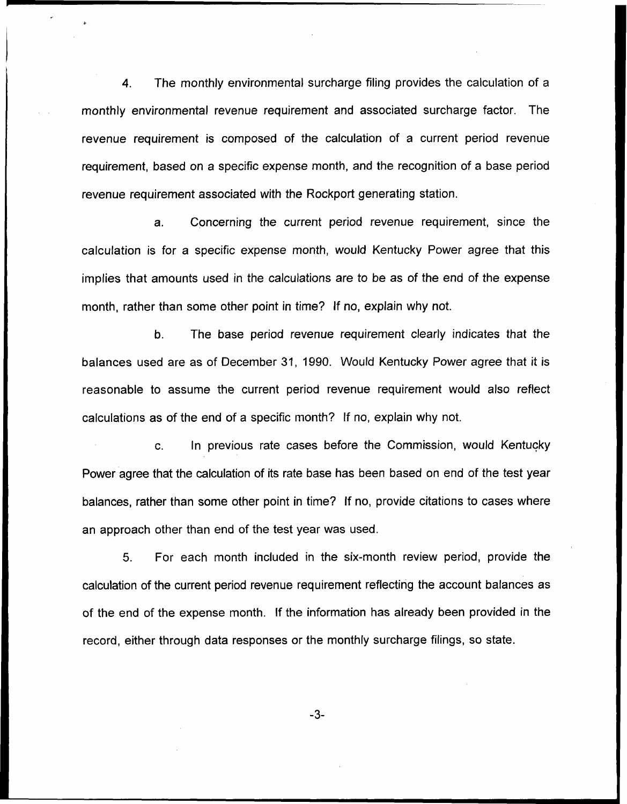4. The monthly environmental surcharge filing provides the calculation of a monthly environmental revenue requirement and associated surcharge factor. The revenue requirement is composed of the calculation of a current period revenue requirement, based on a specific expense month, and the recognition of a base period revenue requirement associated with the Rockport generating station.

a. Concerning the current period revenue requirement, since the calculation is for a specific expense month, would Kentucky Power agree that this implies that amounts used in the calculations are to be as of the end of the expense month, rather than some other point in time? If no, explain why not.

b. The base period revenue requirement clearly indicates that the balances used are as of December 31, 1990. Would Kentucky Power agree that it is reasonable to assume the current period revenue requirement would also reflect calculations as of the end of a specific month? If no, explain why not.

In previous rate cases before the Commission, would Kentucky  $\mathbf{C}$ . Power agree that the calculation of its rate base has been based on end of the test year balances, rather than some other point in time? If no, provide citations to cases where an approach other than end of the test year was used.

5. For each month included in the six-month review period, provide the calculation of the current period revenue requirement reflecting the account balances as of the end of the expense month. If the information has already been provided in the record, either through data responses or the monthly surcharge filings, so state.

 $-3-$